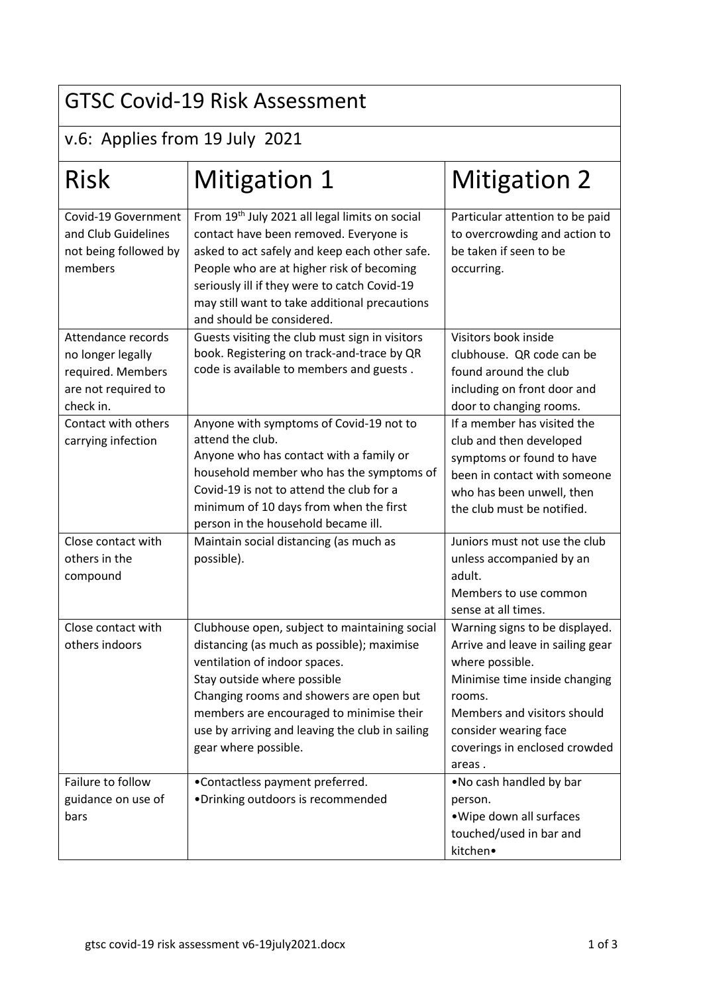## GTSC Covid-19 Risk Assessment

## v.6: Applies from 19 July 2021

| <b>Risk</b>                                                                                      | Mitigation 1                                                                                                                                                                                                                                                                                                                  | <b>Mitigation 2</b>                                                                                                                                                                                                                 |
|--------------------------------------------------------------------------------------------------|-------------------------------------------------------------------------------------------------------------------------------------------------------------------------------------------------------------------------------------------------------------------------------------------------------------------------------|-------------------------------------------------------------------------------------------------------------------------------------------------------------------------------------------------------------------------------------|
| Covid-19 Government<br>and Club Guidelines<br>not being followed by<br>members                   | From 19th July 2021 all legal limits on social<br>contact have been removed. Everyone is<br>asked to act safely and keep each other safe.<br>People who are at higher risk of becoming<br>seriously ill if they were to catch Covid-19<br>may still want to take additional precautions<br>and should be considered.          | Particular attention to be paid<br>to overcrowding and action to<br>be taken if seen to be<br>occurring.                                                                                                                            |
| Attendance records<br>no longer legally<br>required. Members<br>are not required to<br>check in. | Guests visiting the club must sign in visitors<br>book. Registering on track-and-trace by QR<br>code is available to members and guests.                                                                                                                                                                                      | Visitors book inside<br>clubhouse. QR code can be<br>found around the club<br>including on front door and<br>door to changing rooms.                                                                                                |
| Contact with others<br>carrying infection                                                        | Anyone with symptoms of Covid-19 not to<br>attend the club.<br>Anyone who has contact with a family or<br>household member who has the symptoms of<br>Covid-19 is not to attend the club for a<br>minimum of 10 days from when the first<br>person in the household became ill.                                               | If a member has visited the<br>club and then developed<br>symptoms or found to have<br>been in contact with someone<br>who has been unwell, then<br>the club must be notified.                                                      |
| Close contact with<br>others in the<br>compound                                                  | Maintain social distancing (as much as<br>possible).                                                                                                                                                                                                                                                                          | Juniors must not use the club<br>unless accompanied by an<br>adult.<br>Members to use common<br>sense at all times.                                                                                                                 |
| Close contact with<br>others indoors                                                             | Clubhouse open, subject to maintaining social<br>distancing (as much as possible); maximise<br>ventilation of indoor spaces.<br>Stay outside where possible<br>Changing rooms and showers are open but<br>members are encouraged to minimise their<br>use by arriving and leaving the club in sailing<br>gear where possible. | Warning signs to be displayed.<br>Arrive and leave in sailing gear<br>where possible.<br>Minimise time inside changing<br>rooms.<br>Members and visitors should<br>consider wearing face<br>coverings in enclosed crowded<br>areas. |
| Failure to follow<br>guidance on use of<br>bars                                                  | •Contactless payment preferred.<br>·Drinking outdoors is recommended                                                                                                                                                                                                                                                          | . No cash handled by bar<br>person.<br>. Wipe down all surfaces<br>touched/used in bar and<br>kitchen•                                                                                                                              |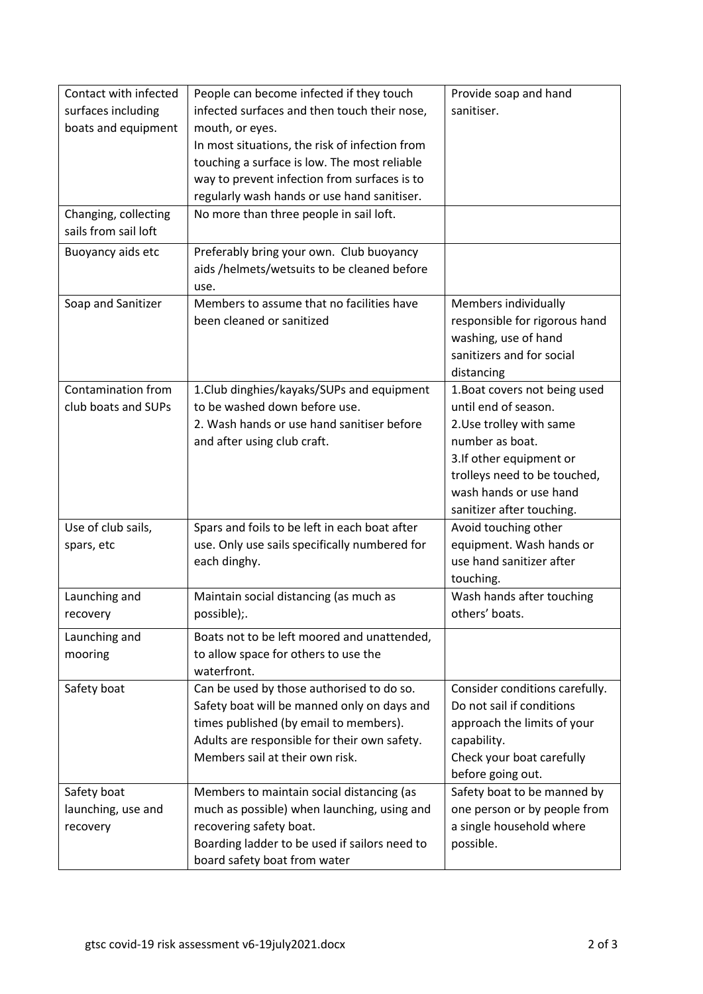| Contact with infected | People can become infected if they touch       | Provide soap and hand          |
|-----------------------|------------------------------------------------|--------------------------------|
| surfaces including    | infected surfaces and then touch their nose,   | sanitiser.                     |
| boats and equipment   | mouth, or eyes.                                |                                |
|                       | In most situations, the risk of infection from |                                |
|                       | touching a surface is low. The most reliable   |                                |
|                       | way to prevent infection from surfaces is to   |                                |
|                       | regularly wash hands or use hand sanitiser.    |                                |
| Changing, collecting  | No more than three people in sail loft.        |                                |
| sails from sail loft  |                                                |                                |
| Buoyancy aids etc     | Preferably bring your own. Club buoyancy       |                                |
|                       | aids /helmets/wetsuits to be cleaned before    |                                |
|                       | use.                                           |                                |
| Soap and Sanitizer    | Members to assume that no facilities have      | Members individually           |
|                       | been cleaned or sanitized                      | responsible for rigorous hand  |
|                       |                                                | washing, use of hand           |
|                       |                                                | sanitizers and for social      |
|                       |                                                | distancing                     |
| Contamination from    | 1. Club dinghies/kayaks/SUPs and equipment     | 1. Boat covers not being used  |
| club boats and SUPs   | to be washed down before use.                  | until end of season.           |
|                       | 2. Wash hands or use hand sanitiser before     | 2. Use trolley with same       |
|                       | and after using club craft.                    | number as boat.                |
|                       |                                                | 3.If other equipment or        |
|                       |                                                | trolleys need to be touched,   |
|                       |                                                | wash hands or use hand         |
|                       |                                                | sanitizer after touching.      |
| Use of club sails,    | Spars and foils to be left in each boat after  | Avoid touching other           |
| spars, etc            | use. Only use sails specifically numbered for  | equipment. Wash hands or       |
|                       | each dinghy.                                   | use hand sanitizer after       |
|                       |                                                | touching.                      |
| Launching and         | Maintain social distancing (as much as         | Wash hands after touching      |
| recovery              | possible);.                                    | others' boats.                 |
| Launching and         | Boats not to be left moored and unattended,    |                                |
| mooring               | to allow space for others to use the           |                                |
|                       | waterfront.                                    |                                |
| Safety boat           | Can be used by those authorised to do so.      | Consider conditions carefully. |
|                       | Safety boat will be manned only on days and    | Do not sail if conditions      |
|                       | times published (by email to members).         | approach the limits of your    |
|                       | Adults are responsible for their own safety.   | capability.                    |
|                       | Members sail at their own risk.                | Check your boat carefully      |
|                       |                                                | before going out.              |
| Safety boat           | Members to maintain social distancing (as      | Safety boat to be manned by    |
| launching, use and    | much as possible) when launching, using and    | one person or by people from   |
| recovery              | recovering safety boat.                        | a single household where       |
|                       | Boarding ladder to be used if sailors need to  | possible.                      |
|                       | board safety boat from water                   |                                |